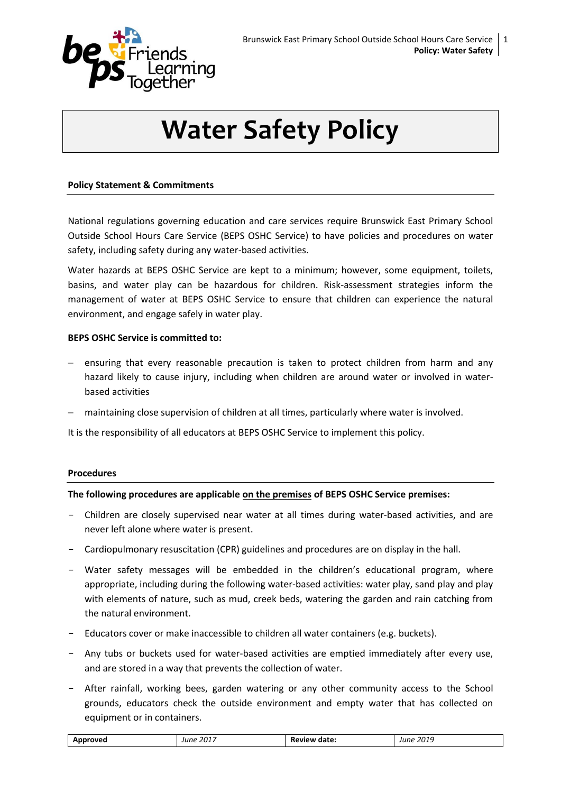

# **Water Safety Policy**

## **Policy Statement & Commitments**

National regulations governing education and care services require Brunswick East Primary School Outside School Hours Care Service (BEPS OSHC Service) to have policies and procedures on water safety, including safety during any water-based activities.

Water hazards at BEPS OSHC Service are kept to a minimum; however, some equipment, toilets, basins, and water play can be hazardous for children. Risk-assessment strategies inform the management of water at BEPS OSHC Service to ensure that children can experience the natural environment, and engage safely in water play.

### **BEPS OSHC Service is committed to:**

- ensuring that every reasonable precaution is taken to protect children from harm and any hazard likely to cause injury, including when children are around water or involved in waterbased activities
- maintaining close supervision of children at all times, particularly where water is involved.

It is the responsibility of all educators at BEPS OSHC Service to implement this policy.

### **Procedures**

### **The following procedures are applicable on the premises of BEPS OSHC Service premises:**

- Children are closely supervised near water at all times during water-based activities, and are never left alone where water is present.
- Cardiopulmonary resuscitation (CPR) guidelines and procedures are on display in the hall.
- Water safety messages will be embedded in the children's educational program, where appropriate, including during the following water-based activities: water play, sand play and play with elements of nature, such as mud, creek beds, watering the garden and rain catching from the natural environment.
- Educators cover or make inaccessible to children all water containers (e.g. buckets).
- Any tubs or buckets used for water-based activities are emptied immediately after every use, and are stored in a way that prevents the collection of water.
- After rainfall, working bees, garden watering or any other community access to the School grounds, educators check the outside environment and empty water that has collected on equipment or in containers.

|--|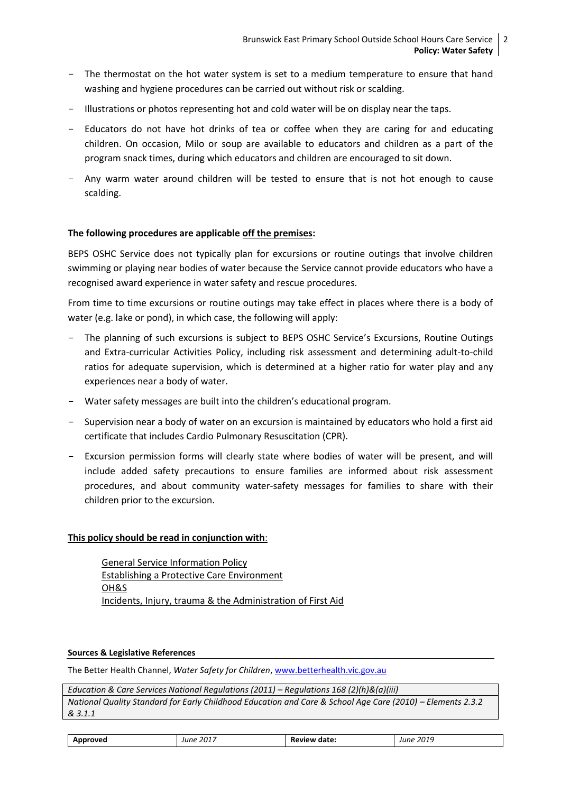- The thermostat on the hot water system is set to a medium temperature to ensure that hand washing and hygiene procedures can be carried out without risk or scalding.
- Illustrations or photos representing hot and cold water will be on display near the taps.
- Educators do not have hot drinks of tea or coffee when they are caring for and educating children. On occasion, Milo or soup are available to educators and children as a part of the program snack times, during which educators and children are encouraged to sit down.
- Any warm water around children will be tested to ensure that is not hot enough to cause scalding.

### **The following procedures are applicable off the premises:**

BEPS OSHC Service does not typically plan for excursions or routine outings that involve children swimming or playing near bodies of water because the Service cannot provide educators who have a recognised award experience in water safety and rescue procedures.

From time to time excursions or routine outings may take effect in places where there is a body of water (e.g. lake or pond), in which case, the following will apply:

- The planning of such excursions is subject to BEPS OSHC Service's Excursions, Routine Outings and Extra-curricular Activities Policy, including risk assessment and determining adult-to-child ratios for adequate supervision, which is determined at a higher ratio for water play and any experiences near a body of water.
- Water safety messages are built into the children's educational program.
- Supervision near a body of water on an excursion is maintained by educators who hold a first aid certificate that includes Cardio Pulmonary Resuscitation (CPR).
- Excursion permission forms will clearly state where bodies of water will be present, and will include added safety precautions to ensure families are informed about risk assessment procedures, and about community water-safety messages for families to share with their children prior to the excursion.

### **This policy should be read in conjunction with**:

General Service Information Policy Establishing a Protective Care Environment OH&S Incidents, Injury, trauma & the Administration of First Aid

#### **Sources & Legislative References**

The Better Health Channel, *Water Safety for Children*, [www.betterhealth.vic.gov.au](http://www.betterhealth.vic.gov.au/)

*Education & Care Services National Regulations (2011) – Regulations 168 (2)(h)&(a)(iii) National Quality Standard for Early Childhood Education and Care & School Age Care (2010) – Elements 2.3.2 & 3.1.1*

| Approved | June 2017 | <b>Review date:</b> | June 2019 |
|----------|-----------|---------------------|-----------|
|          |           |                     |           |